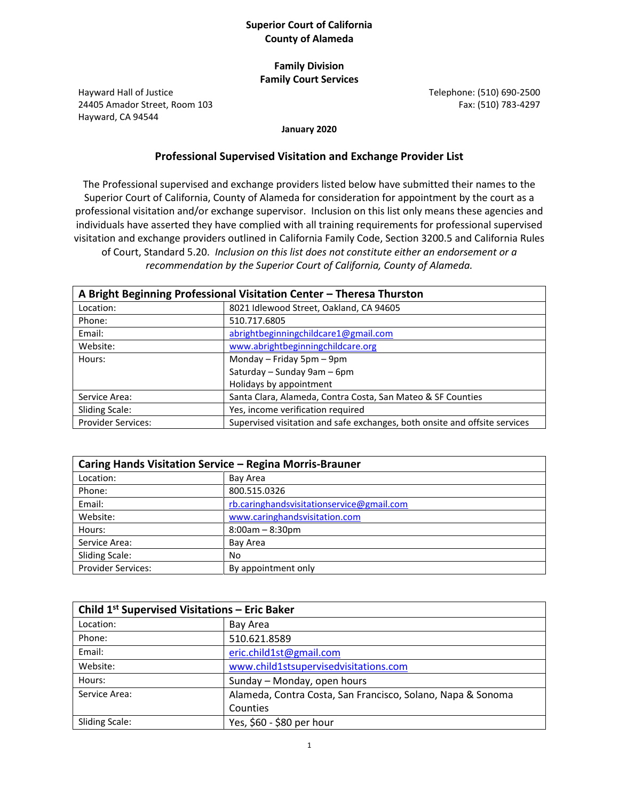## **Superior Court of California County of Alameda**

## **Family Division Family Court Services**

Hayward Hall of Justice 24405 Amador Street, Room 103 Hayward, CA 94544

Telephone: (510) 690-2500 Fax: (510) 783-4297

**January 2020**

## **Professional Supervised Visitation and Exchange Provider List**

The Professional supervised and exchange providers listed below have submitted their names to the Superior Court of California, County of Alameda for consideration for appointment by the court as a professional visitation and/or exchange supervisor. Inclusion on this list only means these agencies and individuals have asserted they have complied with all training requirements for professional supervised visitation and exchange providers outlined in California Family Code, Section 3200.5 and California Rules of Court, Standard 5.20. *Inclusion on this list does not constitute either an endorsement or a recommendation by the Superior Court of California, County of Alameda.*

| A Bright Beginning Professional Visitation Center - Theresa Thurston |                                                                            |
|----------------------------------------------------------------------|----------------------------------------------------------------------------|
| Location:                                                            | 8021 Idlewood Street, Oakland, CA 94605                                    |
| Phone:                                                               | 510.717.6805                                                               |
| Email:                                                               | abrightbeginningchildcare1@gmail.com                                       |
| Website:                                                             | www.abrightbeginningchildcare.org                                          |
| Hours:                                                               | Monday - Friday 5pm - 9pm                                                  |
|                                                                      | Saturday - Sunday 9am - 6pm                                                |
|                                                                      | Holidays by appointment                                                    |
| Service Area:                                                        | Santa Clara, Alameda, Contra Costa, San Mateo & SF Counties                |
| <b>Sliding Scale:</b>                                                | Yes, income verification required                                          |
| <b>Provider Services:</b>                                            | Supervised visitation and safe exchanges, both onsite and offsite services |

| Caring Hands Visitation Service - Regina Morris-Brauner |                                           |
|---------------------------------------------------------|-------------------------------------------|
| Location:                                               | Bay Area                                  |
| Phone:                                                  | 800.515.0326                              |
| Email:                                                  | rb.caringhandsvisitationservice@gmail.com |
| Website:                                                | www.caringhandsvisitation.com             |
| Hours:                                                  | $8:00am - 8:30pm$                         |
| Service Area:                                           | Bay Area                                  |
| <b>Sliding Scale:</b>                                   | No                                        |
| <b>Provider Services:</b>                               | By appointment only                       |

| Child 1 <sup>st</sup> Supervised Visitations - Eric Baker |                                                             |
|-----------------------------------------------------------|-------------------------------------------------------------|
| Location:                                                 | Bay Area                                                    |
| Phone:                                                    | 510.621.8589                                                |
| Email:                                                    | eric.child1st@gmail.com                                     |
| Website:                                                  | www.child1stsupervisedvisitations.com                       |
| Hours:                                                    | Sunday - Monday, open hours                                 |
| Service Area:                                             | Alameda, Contra Costa, San Francisco, Solano, Napa & Sonoma |
|                                                           | Counties                                                    |
| Sliding Scale:                                            | Yes, \$60 - \$80 per hour                                   |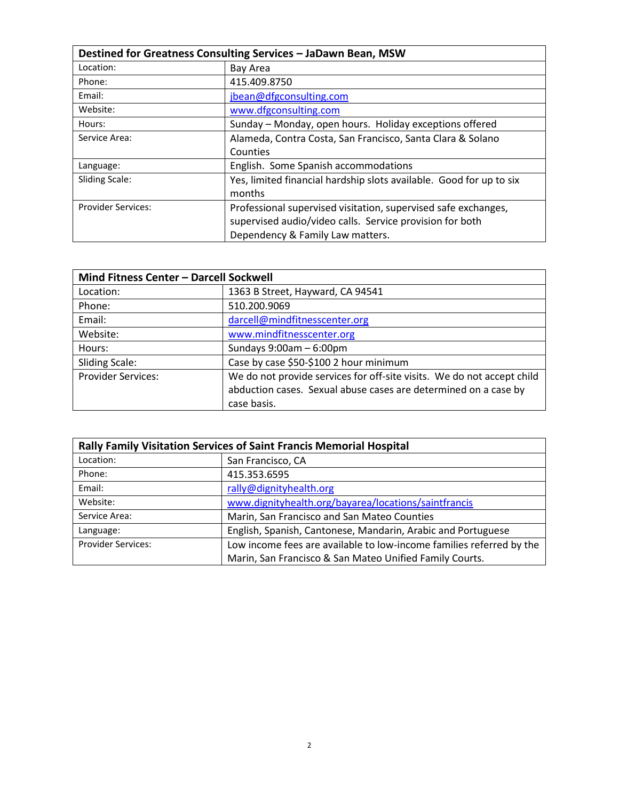| Destined for Greatness Consulting Services - JaDawn Bean, MSW |                                                                     |
|---------------------------------------------------------------|---------------------------------------------------------------------|
| Location:                                                     | Bay Area                                                            |
| Phone:                                                        | 415.409.8750                                                        |
| Email:                                                        | jbean@dfgconsulting.com                                             |
| Website:                                                      | www.dfgconsulting.com                                               |
| Hours:                                                        | Sunday - Monday, open hours. Holiday exceptions offered             |
| Service Area:                                                 | Alameda, Contra Costa, San Francisco, Santa Clara & Solano          |
|                                                               | Counties                                                            |
| Language:                                                     | English. Some Spanish accommodations                                |
| <b>Sliding Scale:</b>                                         | Yes, limited financial hardship slots available. Good for up to six |
|                                                               | months                                                              |
| <b>Provider Services:</b>                                     | Professional supervised visitation, supervised safe exchanges,      |
|                                                               | supervised audio/video calls. Service provision for both            |
|                                                               | Dependency & Family Law matters.                                    |

| Mind Fitness Center - Darcell Sockwell |                                                                        |
|----------------------------------------|------------------------------------------------------------------------|
| Location:                              | 1363 B Street, Hayward, CA 94541                                       |
| Phone:                                 | 510.200.9069                                                           |
| Email:                                 | darcell@mindfitnesscenter.org                                          |
| Website:                               | www.mindfitnesscenter.org                                              |
| Hours:                                 | Sundays $9:00am - 6:00pm$                                              |
| <b>Sliding Scale:</b>                  | Case by case \$50-\$100 2 hour minimum                                 |
| <b>Provider Services:</b>              | We do not provide services for off-site visits. We do not accept child |
|                                        | abduction cases. Sexual abuse cases are determined on a case by        |
|                                        | case basis.                                                            |

| <b>Rally Family Visitation Services of Saint Francis Memorial Hospital</b> |                                                                      |
|----------------------------------------------------------------------------|----------------------------------------------------------------------|
| Location:                                                                  | San Francisco, CA                                                    |
| Phone:                                                                     | 415.353.6595                                                         |
| Email:                                                                     | rally@dignityhealth.org                                              |
| Website:                                                                   | www.dignityhealth.org/bayarea/locations/saintfrancis                 |
| Service Area:                                                              | Marin, San Francisco and San Mateo Counties                          |
| Language:                                                                  | English, Spanish, Cantonese, Mandarin, Arabic and Portuguese         |
| <b>Provider Services:</b>                                                  | Low income fees are available to low-income families referred by the |
|                                                                            | Marin, San Francisco & San Mateo Unified Family Courts.              |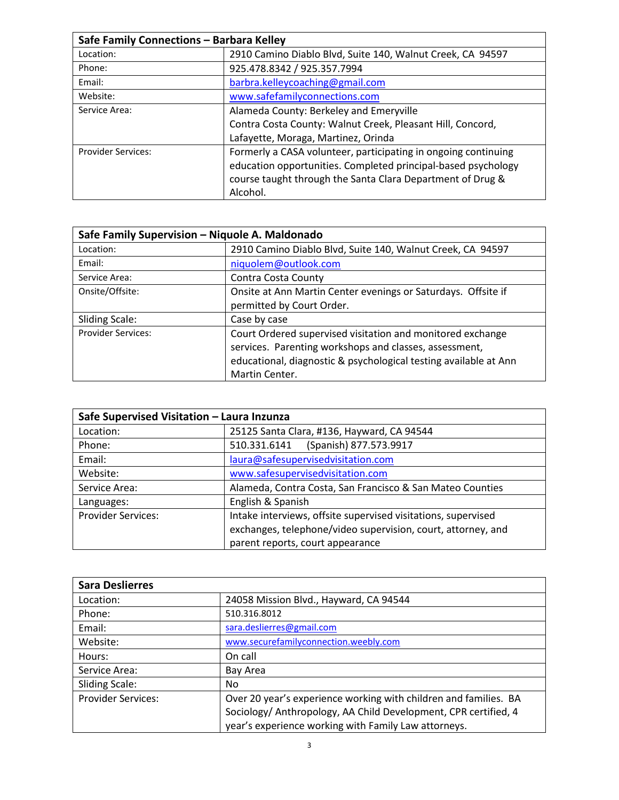| Safe Family Connections - Barbara Kelley |                                                                                                                                 |
|------------------------------------------|---------------------------------------------------------------------------------------------------------------------------------|
| Location:                                | 2910 Camino Diablo Blvd, Suite 140, Walnut Creek, CA 94597                                                                      |
| Phone:                                   | 925.478.8342 / 925.357.7994                                                                                                     |
| Email:                                   | barbra.kelleycoaching@gmail.com                                                                                                 |
| Website:                                 | www.safefamilyconnections.com                                                                                                   |
| Service Area:                            | Alameda County: Berkeley and Emeryville                                                                                         |
|                                          | Contra Costa County: Walnut Creek, Pleasant Hill, Concord,                                                                      |
|                                          | Lafayette, Moraga, Martinez, Orinda                                                                                             |
| <b>Provider Services:</b>                | Formerly a CASA volunteer, participating in ongoing continuing<br>education opportunities. Completed principal-based psychology |
|                                          | course taught through the Santa Clara Department of Drug &                                                                      |
|                                          | Alcohol.                                                                                                                        |

| Safe Family Supervision - Niquole A. Maldonado |                                                                                                                                                                                                            |
|------------------------------------------------|------------------------------------------------------------------------------------------------------------------------------------------------------------------------------------------------------------|
| Location:                                      | 2910 Camino Diablo Blvd, Suite 140, Walnut Creek, CA 94597                                                                                                                                                 |
| Email:                                         | niquolem@outlook.com                                                                                                                                                                                       |
| Service Area:                                  | Contra Costa County                                                                                                                                                                                        |
| Onsite/Offsite:                                | Onsite at Ann Martin Center evenings or Saturdays. Offsite if<br>permitted by Court Order.                                                                                                                 |
| <b>Sliding Scale:</b>                          | Case by case                                                                                                                                                                                               |
| <b>Provider Services:</b>                      | Court Ordered supervised visitation and monitored exchange<br>services. Parenting workshops and classes, assessment,<br>educational, diagnostic & psychological testing available at Ann<br>Martin Center. |

| Safe Supervised Visitation - Laura Inzunza |                                                               |
|--------------------------------------------|---------------------------------------------------------------|
| Location:                                  | 25125 Santa Clara, #136, Hayward, CA 94544                    |
| Phone:                                     | (Spanish) 877.573.9917<br>510.331.6141                        |
| Email:                                     | laura@safesupervisedvisitation.com                            |
| Website:                                   | www.safesupervisedvisitation.com                              |
| Service Area:                              | Alameda, Contra Costa, San Francisco & San Mateo Counties     |
| Languages:                                 | English & Spanish                                             |
| <b>Provider Services:</b>                  | Intake interviews, offsite supervised visitations, supervised |
|                                            | exchanges, telephone/video supervision, court, attorney, and  |
|                                            | parent reports, court appearance                              |

| <b>Sara Deslierres</b>    |                                                                                                                         |
|---------------------------|-------------------------------------------------------------------------------------------------------------------------|
| Location:                 | 24058 Mission Blvd., Hayward, CA 94544                                                                                  |
| Phone:                    | 510.316.8012                                                                                                            |
| Email:                    | sara.deslierres@gmail.com                                                                                               |
| Website:                  | www.securefamilyconnection.weebly.com                                                                                   |
| Hours:                    | On call                                                                                                                 |
| Service Area:             | Bay Area                                                                                                                |
| <b>Sliding Scale:</b>     | No                                                                                                                      |
| <b>Provider Services:</b> | Over 20 year's experience working with children and families. BA                                                        |
|                           | Sociology/ Anthropology, AA Child Development, CPR certified, 4<br>year's experience working with Family Law attorneys. |